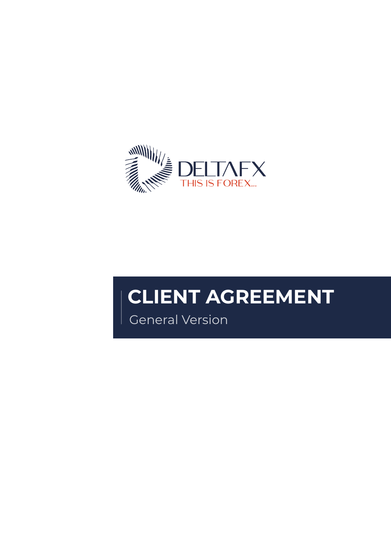

# **CLIENT AGREEMENT**

General Version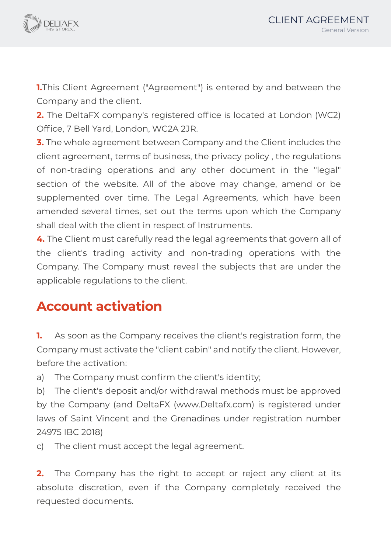



**1.**This Client Agreement ("Agreement") is entered by and between the Company and the client.

**2.** The DeltaFX company's registered office is located at London (WC2) Office, 7 Bell Yard, London, WC2A 2JR.

**3.** The whole agreement between Company and the Client includes the client agreement, terms of business, the privacy policy , the regulations of non-trading operations and any other document in the "legal" section of the website. All of the above may change, amend or be supplemented over time. The Legal Agreements, which have been amended several times, set out the terms upon which the Company shall deal with the client in respect of Instruments.

**4.** The Client must carefully read the legal agreements that govern all of the client's trading activity and non-trading operations with the Company. The Company must reveal the subjects that are under the applicable regulations to the client.

# **Account activation**

**1.** As soon as the Company receives the client's registration form, the Company must activate the "client cabin" and notify the client. However, before the activation:

a) The Company must confirm the client's identity;

b) The client's deposit and/or withdrawal methods must be approved by the Company (and DeltaFX (www.Deltafx.com) is registered under laws of Saint Vincent and the Grenadines under registration number 24975 IBC 2018)

c) The client must accept the legal agreement.

**2.** The Company has the right to accept or reject any client at its absolute discretion, even if the Company completely received the requested documents.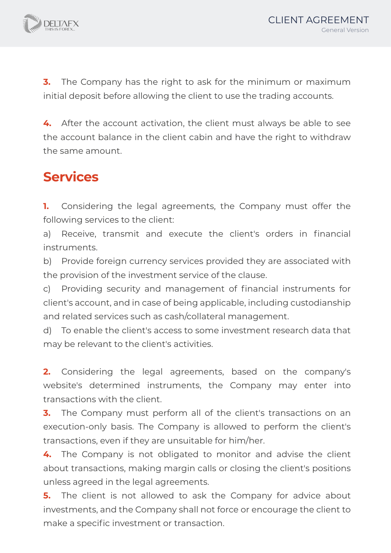

**3.** The Company has the right to ask for the minimum or maximum initial deposit before allowing the client to use the trading accounts.

**4.** After the account activation, the client must always be able to see the account balance in the client cabin and have the right to withdraw the same amount.

# **Services**

**1.** Considering the legal agreements, the Company must offer the following services to the client:

a) Receive, transmit and execute the client's orders in financial instruments.

b) Provide foreign currency services provided they are associated with the provision of the investment service of the clause.

c) Providing security and management of financial instruments for client's account, and in case of being applicable, including custodianship and related services such as cash/collateral management.

d) To enable the client's access to some investment research data that may be relevant to the client's activities.

**2.** Considering the legal agreements, based on the company's website's determined instruments, the Company may enter into transactions with the client.

**3.** The Company must perform all of the client's transactions on an execution-only basis. The Company is allowed to perform the client's transactions, even if they are unsuitable for him/her.

**4.** The Company is not obligated to monitor and advise the client about transactions, making margin calls or closing the client's positions unless agreed in the legal agreements.

**5.** The client is not allowed to ask the Company for advice about investments, and the Company shall not force or encourage the client to make a specific investment or transaction.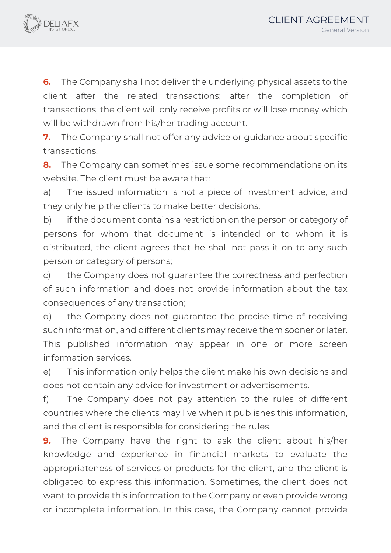

**6.** The Company shall not deliver the underlying physical assets to the client after the related transactions; after the completion of transactions, the client will only receive profits or will lose money which will be withdrawn from his/her trading account.

**7.** The Company shall not offer any advice or guidance about specific transactions.

**8.** The Company can sometimes issue some recommendations on its website. The client must be aware that:

a) The issued information is not a piece of investment advice, and they only help the clients to make better decisions;

b) if the document contains a restriction on the person or category of persons for whom that document is intended or to whom it is distributed, the client agrees that he shall not pass it on to any such person or category of persons;

c) the Company does not guarantee the correctness and perfection of such information and does not provide information about the tax consequences of any transaction;

d) the Company does not guarantee the precise time of receiving such information, and different clients may receive them sooner or later. This published information may appear in one or more screen information services.

e) This information only helps the client make his own decisions and does not contain any advice for investment or advertisements.

f) The Company does not pay attention to the rules of different countries where the clients may live when it publishes this information, and the client is responsible for considering the rules.

**9.** The Company have the right to ask the client about his/her knowledge and experience in financial markets to evaluate the appropriateness of services or products for the client, and the client is obligated to express this information. Sometimes, the client does not want to provide this information to the Company or even provide wrong or incomplete information. In this case, the Company cannot provide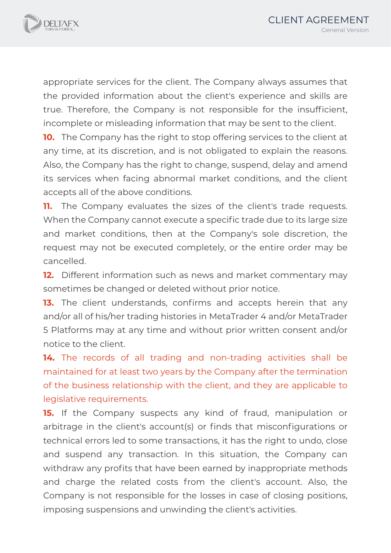

appropriate services for the client. The Company always assumes that the provided information about the client's experience and skills are true. Therefore, the Company is not responsible for the insufficient, incomplete or misleading information that may be sent to the client.

**10.** The Company has the right to stop offering services to the client at any time, at its discretion, and is not obligated to explain the reasons. Also, the Company has the right to change, suspend, delay and amend its services when facing abnormal market conditions, and the client accepts all of the above conditions.

**11.** The Company evaluates the sizes of the client's trade requests. When the Company cannot execute a specific trade due to its large size and market conditions, then at the Company's sole discretion, the request may not be executed completely, or the entire order may be cancelled.

**12.** Different information such as news and market commentary may sometimes be changed or deleted without prior notice.

**13.** The client understands, confirms and accepts herein that any and/or all of his/her trading histories in MetaTrader 4 and/or MetaTrader 5 Platforms may at any time and without prior written consent and/or notice to the client.

**14.** The records of all trading and non-trading activities shall be maintained for at least two years by the Company after the termination of the business relationship with the client, and they are applicable to legislative requirements.

**15.** If the Company suspects any kind of fraud, manipulation or arbitrage in the client's account(s) or finds that misconfigurations or technical errors led to some transactions, it has the right to undo, close and suspend any transaction. In this situation, the Company can withdraw any profits that have been earned by inappropriate methods and charge the related costs from the client's account. Also, the Company is not responsible for the losses in case of closing positions, imposing suspensions and unwinding the client's activities.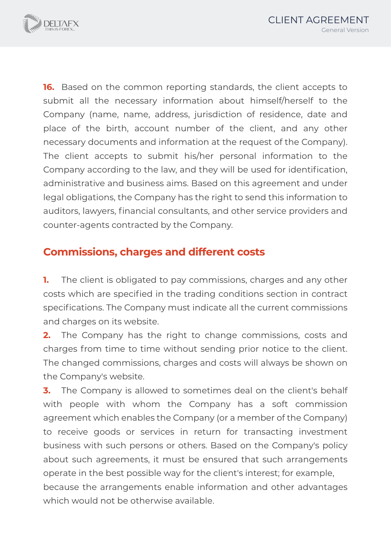

**16.** Based on the common reporting standards, the client accepts to submit all the necessary information about himself/herself to the Company (name, name, address, jurisdiction of residence, date and place of the birth, account number of the client, and any other necessary documents and information at the request of the Company). The client accepts to submit his/her personal information to the Company according to the law, and they will be used for identification, administrative and business aims. Based on this agreement and under legal obligations, the Company has the right to send this information to auditors, lawyers, financial consultants, and other service providers and counter-agents contracted by the Company.

## **Commissions, charges and different costs**

**1.** The client is obligated to pay commissions, charges and any other costs which are specified in the trading conditions section in contract specifications. The Company must indicate all the current commissions and charges on its website.

**2.** The Company has the right to change commissions, costs and charges from time to time without sending prior notice to the client. The changed commissions, charges and costs will always be shown on the Company's website.

**3.** The Company is allowed to sometimes deal on the client's behalf with people with whom the Company has a soft commission agreement which enables the Company (or a member of the Company) to receive goods or services in return for transacting investment business with such persons or others. Based on the Company's policy about such agreements, it must be ensured that such arrangements operate in the best possible way for the client's interest; for example, because the arrangements enable information and other advantages which would not be otherwise available.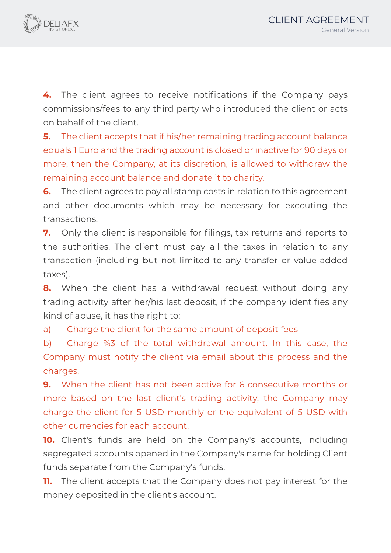

**4.** The client agrees to receive notifications if the Company pays commissions/fees to any third party who introduced the client or acts on behalf of the client.

**5.** The client accepts that if his/her remaining trading account balance equals 1 Euro and the trading account is closed or inactive for 90 days or more, then the Company, at its discretion, is allowed to withdraw the remaining account balance and donate it to charity.

**6.** The client agrees to pay all stamp costs in relation to this agreement and other documents which may be necessary for executing the transactions.

**7.** Only the client is responsible for filings, tax returns and reports to the authorities. The client must pay all the taxes in relation to any transaction (including but not limited to any transfer or value-added taxes).

**8.** When the client has a withdrawal request without doing any trading activity after her/his last deposit, if the company identifies any kind of abuse, it has the right to:

a) Charge the client for the same amount of deposit fees

b) Charge %3 of the total withdrawal amount. In this case, the Company must notify the client via email about this process and the charges.

**9.** When the client has not been active for 6 consecutive months or more based on the last client's trading activity, the Company may charge the client for 5 USD monthly or the equivalent of 5 USD with other currencies for each account.

**10.** Client's funds are held on the Company's accounts, including segregated accounts opened in the Company's name for holding Client funds separate from the Company's funds.

**11.** The client accepts that the Company does not pay interest for the money deposited in the client's account.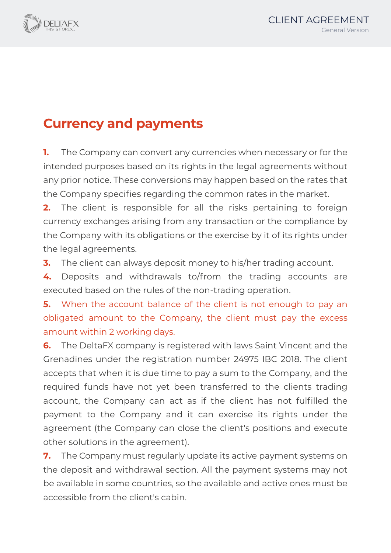

# **Currency and payments**

**1.** The Company can convert any currencies when necessary or for the intended purposes based on its rights in the legal agreements without any prior notice. These conversions may happen based on the rates that the Company specifies regarding the common rates in the market.

**2.** The client is responsible for all the risks pertaining to foreign currency exchanges arising from any transaction or the compliance by the Company with its obligations or the exercise by it of its rights under the legal agreements.

**3.** The client can always deposit money to his/her trading account.

**4.** Deposits and withdrawals to/from the trading accounts are executed based on the rules of the non-trading operation.

**5.** When the account balance of the client is not enough to pay an obligated amount to the Company, the client must pay the excess amount within 2 working days.

**6.** The DeltaFX company is registered with laws Saint Vincent and the Grenadines under the registration number 24975 IBC 2018. The client accepts that when it is due time to pay a sum to the Company, and the required funds have not yet been transferred to the clients trading account, the Company can act as if the client has not fulfilled the payment to the Company and it can exercise its rights under the agreement (the Company can close the client's positions and execute other solutions in the agreement).

**7.** The Company must regularly update its active payment systems on the deposit and withdrawal section. All the payment systems may not be available in some countries, so the available and active ones must be accessible from the client's cabin.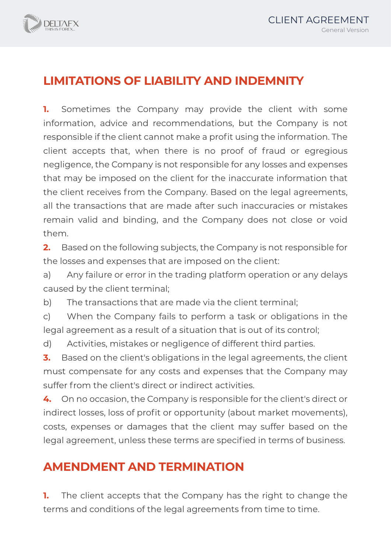

## **LIMITATIONS OF LIABILITY AND INDEMNITY**

**1.** Sometimes the Company may provide the client with some information, advice and recommendations, but the Company is not responsible if the client cannot make a profit using the information. The client accepts that, when there is no proof of fraud or egregious negligence, the Company is not responsible for any losses and expenses that may be imposed on the client for the inaccurate information that the client receives from the Company. Based on the legal agreements, all the transactions that are made after such inaccuracies or mistakes remain valid and binding, and the Company does not close or void them.

**2.** Based on the following subjects, the Company is not responsible for the losses and expenses that are imposed on the client:

a) Any failure or error in the trading platform operation or any delays caused by the client terminal;

b) The transactions that are made via the client terminal;

c) When the Company fails to perform a task or obligations in the legal agreement as a result of a situation that is out of its control;

d) Activities, mistakes or negligence of different third parties.

**3.** Based on the client's obligations in the legal agreements, the client must compensate for any costs and expenses that the Company may suffer from the client's direct or indirect activities.

**4.** On no occasion, the Company is responsible for the client's direct or indirect losses, loss of profit or opportunity (about market movements), costs, expenses or damages that the client may suffer based on the legal agreement, unless these terms are specified in terms of business.

## **AMENDMENT AND TERMINATION**

**1.** The client accepts that the Company has the right to change the terms and conditions of the legal agreements from time to time.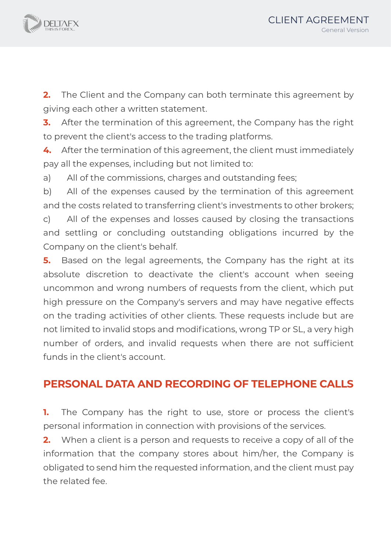

**2.** The Client and the Company can both terminate this agreement by giving each other a written statement.

**3.** After the termination of this agreement, the Company has the right to prevent the client's access to the trading platforms.

**4.** After the termination of this agreement, the client must immediately pay all the expenses, including but not limited to:

a) All of the commissions, charges and outstanding fees;

b) All of the expenses caused by the termination of this agreement and the costs related to transferring client's investments to other brokers;

c) All of the expenses and losses caused by closing the transactions and settling or concluding outstanding obligations incurred by the Company on the client's behalf.

**5.** Based on the legal agreements, the Company has the right at its absolute discretion to deactivate the client's account when seeing uncommon and wrong numbers of requests from the client, which put high pressure on the Company's servers and may have negative effects on the trading activities of other clients. These requests include but are not limited to invalid stops and modifications, wrong TP or SL, a very high number of orders, and invalid requests when there are not sufficient funds in the client's account.

## **PERSONAL DATA AND RECORDING OF TELEPHONE CALLS**

**1.** The Company has the right to use, store or process the client's personal information in connection with provisions of the services.

**2.** When a client is a person and requests to receive a copy of all of the information that the company stores about him/her, the Company is obligated to send him the requested information, and the client must pay the related fee.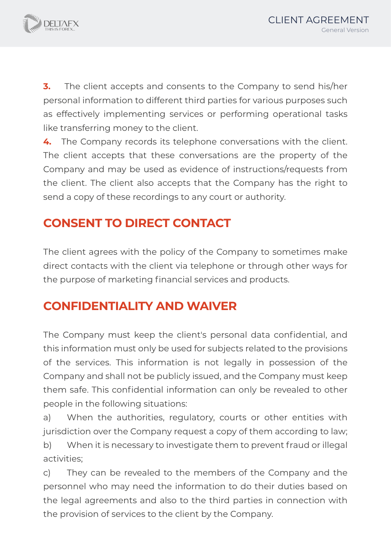

**3.** The client accepts and consents to the Company to send his/her personal information to different third parties for various purposes such as effectively implementing services or performing operational tasks like transferring money to the client.

**4.** The Company records its telephone conversations with the client. The client accepts that these conversations are the property of the Company and may be used as evidence of instructions/requests from the client. The client also accepts that the Company has the right to send a copy of these recordings to any court or authority.

## **CONSENT TO DIRECT CONTACT**

The client agrees with the policy of the Company to sometimes make direct contacts with the client via telephone or through other ways for the purpose of marketing financial services and products.

## **CONFIDENTIALITY AND WAIVER**

The Company must keep the client's personal data confidential, and this information must only be used for subjects related to the provisions of the services. This information is not legally in possession of the Company and shall not be publicly issued, and the Company must keep them safe. This confidential information can only be revealed to other people in the following situations:

a) When the authorities, regulatory, courts or other entities with jurisdiction over the Company request a copy of them according to law; b) When it is necessary to investigate them to prevent fraud or illegal activities;

c) They can be revealed to the members of the Company and the personnel who may need the information to do their duties based on the legal agreements and also to the third parties in connection with the provision of services to the client by the Company.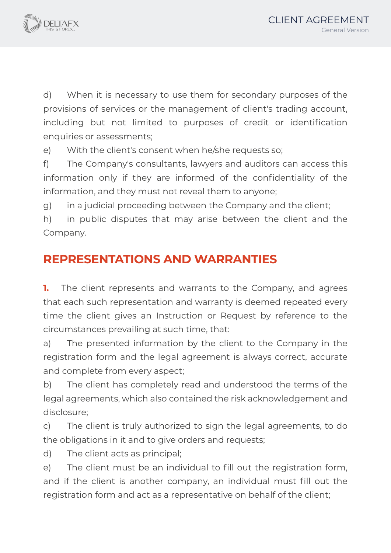

d) When it is necessary to use them for secondary purposes of the provisions of services or the management of client's trading account, including but not limited to purposes of credit or identification enquiries or assessments;

e) With the client's consent when he/she requests so;

f) The Company's consultants, lawyers and auditors can access this information only if they are informed of the confidentiality of the information, and they must not reveal them to anyone;

g) in a judicial proceeding between the Company and the client;

h) in public disputes that may arise between the client and the Company.

## **REPRESENTATIONS AND WARRANTIES**

**1.** The client represents and warrants to the Company, and agrees that each such representation and warranty is deemed repeated every time the client gives an Instruction or Request by reference to the circumstances prevailing at such time, that:

a) The presented information by the client to the Company in the registration form and the legal agreement is always correct, accurate and complete from every aspect;

b) The client has completely read and understood the terms of the legal agreements, which also contained the risk acknowledgement and disclosure;

c) The client is truly authorized to sign the legal agreements, to do the obligations in it and to give orders and requests;

d) The client acts as principal;

e) The client must be an individual to fill out the registration form, and if the client is another company, an individual must fill out the registration form and act as a representative on behalf of the client;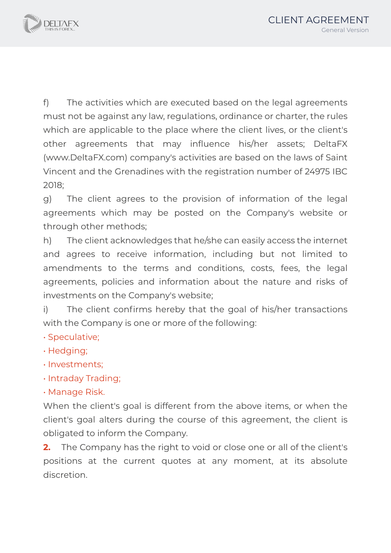

f) The activities which are executed based on the legal agreements must not be against any law, regulations, ordinance or charter, the rules which are applicable to the place where the client lives, or the client's other agreements that may influence his/her assets; DeltaFX (www.DeltaFX.com) company's activities are based on the laws of Saint Vincent and the Grenadines with the registration number of 24975 IBC 2018;

g) The client agrees to the provision of information of the legal agreements which may be posted on the Company's website or through other methods;

h) The client acknowledges that he/she can easily access the internet and agrees to receive information, including but not limited to amendments to the terms and conditions, costs, fees, the legal agreements, policies and information about the nature and risks of investments on the Company's website;

i) The client confirms hereby that the goal of his/her transactions with the Company is one or more of the following:

- Speculative;
- Hedging;
- Investments;
- Intraday Trading;
- Manage Risk.

When the client's goal is different from the above items, or when the client's goal alters during the course of this agreement, the client is obligated to inform the Company.

**2.** The Company has the right to void or close one or all of the client's positions at the current quotes at any moment, at its absolute discretion.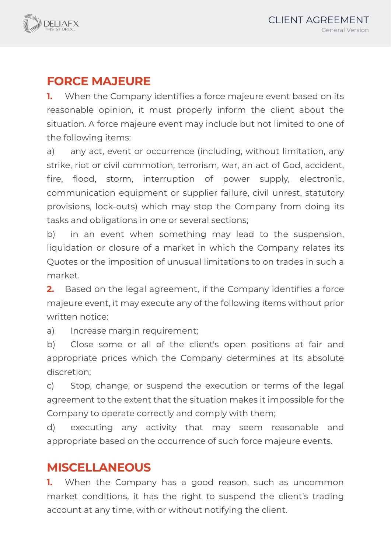

## **FORCE MAJEURE**

**1.** When the Company identifies a force majeure event based on its reasonable opinion, it must properly inform the client about the situation. A force majeure event may include but not limited to one of the following items:

a) any act, event or occurrence (including, without limitation, any strike, riot or civil commotion, terrorism, war, an act of God, accident, fire, flood, storm, interruption of power supply, electronic, communication equipment or supplier failure, civil unrest, statutory provisions, lock-outs) which may stop the Company from doing its tasks and obligations in one or several sections;

b) in an event when something may lead to the suspension, liquidation or closure of a market in which the Company relates its Quotes or the imposition of unusual limitations to on trades in such a market.

**2.** Based on the legal agreement, if the Company identifies a force majeure event, it may execute any of the following items without prior written notice:

a) Increase margin requirement;

b) Close some or all of the client's open positions at fair and appropriate prices which the Company determines at its absolute discretion;

c) Stop, change, or suspend the execution or terms of the legal agreement to the extent that the situation makes it impossible for the Company to operate correctly and comply with them;

d) executing any activity that may seem reasonable and appropriate based on the occurrence of such force majeure events.

## **MISCELLANEOUS**

**1.** When the Company has a good reason, such as uncommon market conditions, it has the right to suspend the client's trading account at any time, with or without notifying the client.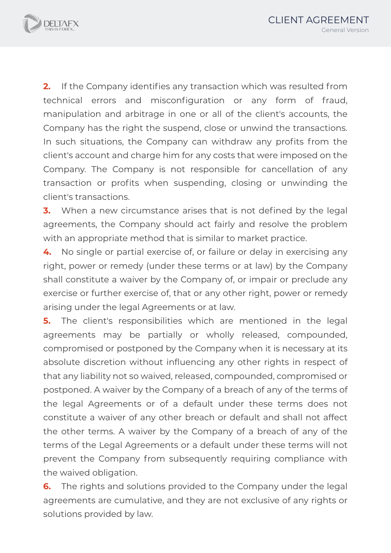

**2.** If the Company identifies any transaction which was resulted from technical errors and misconfiguration or any form of fraud, manipulation and arbitrage in one or all of the client's accounts, the Company has the right the suspend, close or unwind the transactions. In such situations, the Company can withdraw any profits from the client's account and charge him for any costs that were imposed on the Company. The Company is not responsible for cancellation of any transaction or profits when suspending, closing or unwinding the client's transactions.

**3.** When a new circumstance arises that is not defined by the legal agreements, the Company should act fairly and resolve the problem with an appropriate method that is similar to market practice.

**4.** No single or partial exercise of, or failure or delay in exercising any right, power or remedy (under these terms or at law) by the Company shall constitute a waiver by the Company of, or impair or preclude any exercise or further exercise of, that or any other right, power or remedy arising under the legal Agreements or at law.

**5.** The client's responsibilities which are mentioned in the legal agreements may be partially or wholly released, compounded, compromised or postponed by the Company when it is necessary at its absolute discretion without influencing any other rights in respect of that any liability not so waived, released, compounded, compromised or postponed. A waiver by the Company of a breach of any of the terms of the legal Agreements or of a default under these terms does not constitute a waiver of any other breach or default and shall not affect the other terms. A waiver by the Company of a breach of any of the terms of the Legal Agreements or a default under these terms will not prevent the Company from subsequently requiring compliance with the waived obligation.

**6.** The rights and solutions provided to the Company under the legal agreements are cumulative, and they are not exclusive of any rights or solutions provided by law.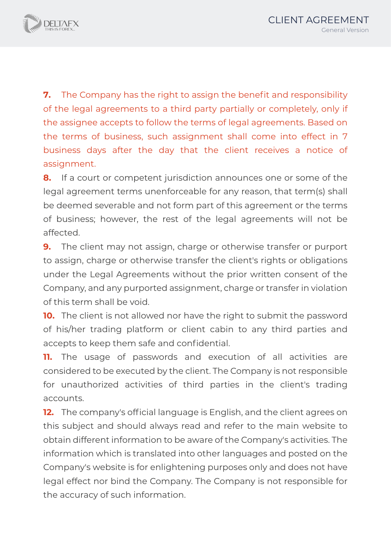

**7.** The Company has the right to assign the benefit and responsibility of the legal agreements to a third party partially or completely, only if the assignee accepts to follow the terms of legal agreements. Based on the terms of business, such assignment shall come into effect in 7 business days after the day that the client receives a notice of assignment.

**8.** If a court or competent jurisdiction announces one or some of the legal agreement terms unenforceable for any reason, that term(s) shall be deemed severable and not form part of this agreement or the terms of business; however, the rest of the legal agreements will not be affected.

**9.** The client may not assign, charge or otherwise transfer or purport to assign, charge or otherwise transfer the client's rights or obligations under the Legal Agreements without the prior written consent of the Company, and any purported assignment, charge or transfer in violation of this term shall be void.

**10.** The client is not allowed nor have the right to submit the password of his/her trading platform or client cabin to any third parties and accepts to keep them safe and confidential.

**11.** The usage of passwords and execution of all activities are considered to be executed by the client. The Company is not responsible for unauthorized activities of third parties in the client's trading accounts.

**12.** The company's official language is English, and the client agrees on this subject and should always read and refer to the main website to obtain different information to be aware of the Company's activities. The information which is translated into other languages and posted on the Company's website is for enlightening purposes only and does not have legal effect nor bind the Company. The Company is not responsible for the accuracy of such information.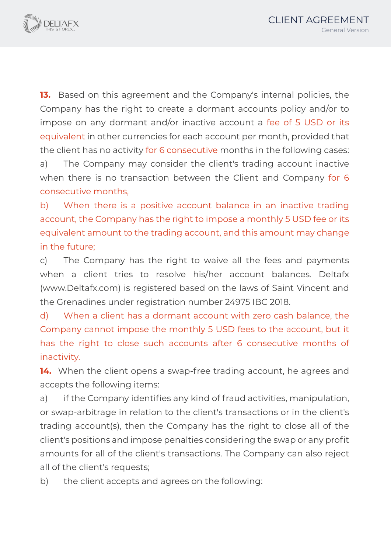

**13.** Based on this agreement and the Company's internal policies, the Company has the right to create a dormant accounts policy and/or to impose on any dormant and/or inactive account a fee of 5 USD or its equivalent in other currencies for each account per month, provided that the client has no activity for 6 consecutive months in the following cases: a) The Company may consider the client's trading account inactive when there is no transaction between the Client and Company for 6 consecutive months,

b) When there is a positive account balance in an inactive trading account, the Company has the right to impose a monthly 5 USD fee or its equivalent amount to the trading account, and this amount may change in the future;

c) The Company has the right to waive all the fees and payments when a client tries to resolve his/her account balances. Deltafx (www.Deltafx.com) is registered based on the laws of Saint Vincent and the Grenadines under registration number 24975 IBC 2018.

d) When a client has a dormant account with zero cash balance, the Company cannot impose the monthly 5 USD fees to the account, but it has the right to close such accounts after 6 consecutive months of inactivity.

**14.** When the client opens a swap-free trading account, he agrees and accepts the following items:

a) if the Company identifies any kind of fraud activities, manipulation, or swap-arbitrage in relation to the client's transactions or in the client's trading account(s), then the Company has the right to close all of the client's positions and impose penalties considering the swap or any profit amounts for all of the client's transactions. The Company can also reject all of the client's requests;

b) the client accepts and agrees on the following: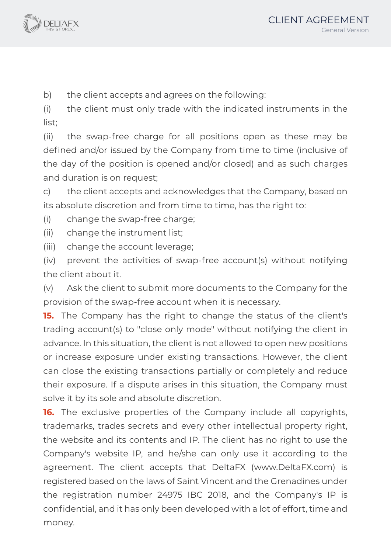

b) the client accepts and agrees on the following:

(i) the client must only trade with the indicated instruments in the list;

(ii) the swap-free charge for all positions open as these may be defined and/or issued by the Company from time to time (inclusive of the day of the position is opened and/or closed) and as such charges and duration is on request;

c) the client accepts and acknowledges that the Company, based on its absolute discretion and from time to time, has the right to:

(i) change the swap-free charge;

(ii) change the instrument list;

(iii) change the account leverage;

(iv) prevent the activities of swap-free account(s) without notifying the client about it.

(v) Ask the client to submit more documents to the Company for the provision of the swap-free account when it is necessary.

**15.** The Company has the right to change the status of the client's trading account(s) to "close only mode" without notifying the client in advance. In this situation, the client is not allowed to open new positions or increase exposure under existing transactions. However, the client can close the existing transactions partially or completely and reduce their exposure. If a dispute arises in this situation, the Company must solve it by its sole and absolute discretion.

**16.** The exclusive properties of the Company include all copyrights, trademarks, trades secrets and every other intellectual property right, the website and its contents and IP. The client has no right to use the Company's website IP, and he/she can only use it according to the agreement. The client accepts that DeltaFX (www.DeltaFX.com) is registered based on the laws of Saint Vincent and the Grenadines under the registration number 24975 IBC 2018, and the Company's IP is confidential, and it has only been developed with a lot of effort, time and money.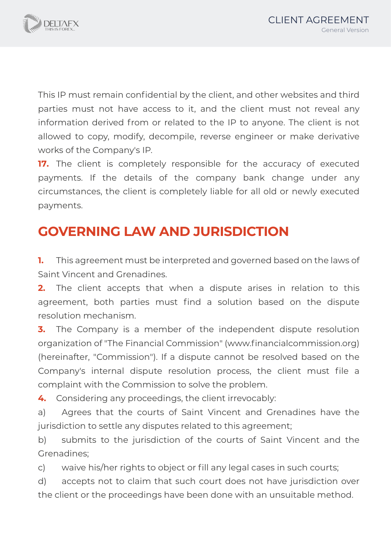

This IP must remain confidential by the client, and other websites and third parties must not have access to it, and the client must not reveal any information derived from or related to the IP to anyone. The client is not allowed to copy, modify, decompile, reverse engineer or make derivative works of the Company's IP.

**17.** The client is completely responsible for the accuracy of executed payments. If the details of the company bank change under any circumstances, the client is completely liable for all old or newly executed payments.

# **GOVERNING LAW AND JURISDICTION**

**1.** This agreement must be interpreted and governed based on the laws of Saint Vincent and Grenadines.

**2.** The client accepts that when a dispute arises in relation to this agreement, both parties must find a solution based on the dispute resolution mechanism.

**3.** The Company is a member of the independent dispute resolution organization of "The Financial Commission" (www.financialcommission.org) (hereinafter, "Commission"). If a dispute cannot be resolved based on the Company's internal dispute resolution process, the client must file a complaint with the Commission to solve the problem.

**4.** Considering any proceedings, the client irrevocably:

a) Agrees that the courts of Saint Vincent and Grenadines have the jurisdiction to settle any disputes related to this agreement;

b) submits to the jurisdiction of the courts of Saint Vincent and the Grenadines;

c) waive his/her rights to object or fill any legal cases in such courts;

d) accepts not to claim that such court does not have jurisdiction over the client or the proceedings have been done with an unsuitable method.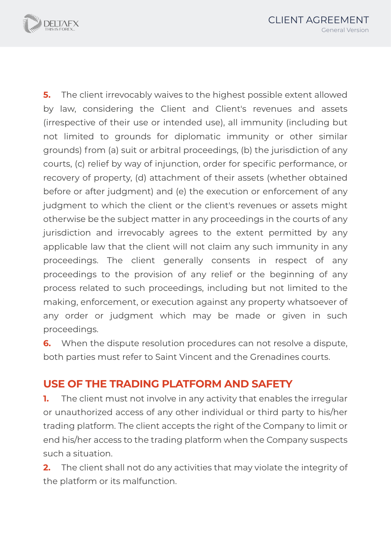

**5.** The client irrevocably waives to the highest possible extent allowed by law, considering the Client and Client's revenues and assets (irrespective of their use or intended use), all immunity (including but not limited to grounds for diplomatic immunity or other similar grounds) from (a) suit or arbitral proceedings, (b) the jurisdiction of any courts, (c) relief by way of injunction, order for specific performance, or recovery of property, (d) attachment of their assets (whether obtained before or after judgment) and (e) the execution or enforcement of any judgment to which the client or the client's revenues or assets might otherwise be the subject matter in any proceedings in the courts of any jurisdiction and irrevocably agrees to the extent permitted by any applicable law that the client will not claim any such immunity in any proceedings. The client generally consents in respect of any proceedings to the provision of any relief or the beginning of any process related to such proceedings, including but not limited to the making, enforcement, or execution against any property whatsoever of any order or judgment which may be made or given in such proceedings.

**6.** When the dispute resolution procedures can not resolve a dispute, both parties must refer to Saint Vincent and the Grenadines courts.

#### **USE OF THE TRADING PLATFORM AND SAFETY**

**1.** The client must not involve in any activity that enables the irregular or unauthorized access of any other individual or third party to his/her trading platform. The client accepts the right of the Company to limit or end his/her access to the trading platform when the Company suspects such a situation.

**2.** The client shall not do any activities that may violate the integrity of the platform or its malfunction.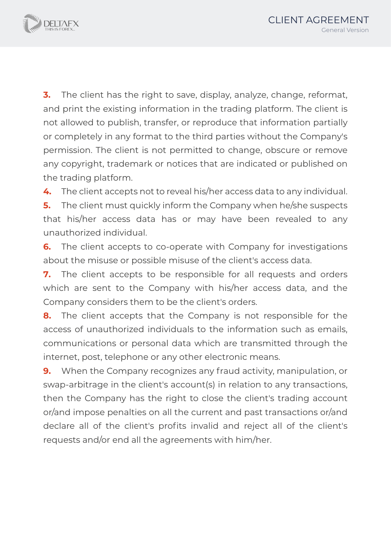

**3.** The client has the right to save, display, analyze, change, reformat, and print the existing information in the trading platform. The client is not allowed to publish, transfer, or reproduce that information partially or completely in any format to the third parties without the Company's permission. The client is not permitted to change, obscure or remove any copyright, trademark or notices that are indicated or published on the trading platform.

**4.** The client accepts not to reveal his/her access data to any individual.

**5.** The client must quickly inform the Company when he/she suspects that his/her access data has or may have been revealed to any unauthorized individual.

**6.** The client accepts to co-operate with Company for investigations about the misuse or possible misuse of the client's access data.

**7.** The client accepts to be responsible for all requests and orders which are sent to the Company with his/her access data, and the Company considers them to be the client's orders.

**8.** The client accepts that the Company is not responsible for the access of unauthorized individuals to the information such as emails, communications or personal data which are transmitted through the internet, post, telephone or any other electronic means.

**9.** When the Company recognizes any fraud activity, manipulation, or swap-arbitrage in the client's account(s) in relation to any transactions, then the Company has the right to close the client's trading account or/and impose penalties on all the current and past transactions or/and declare all of the client's profits invalid and reject all of the client's requests and/or end all the agreements with him/her.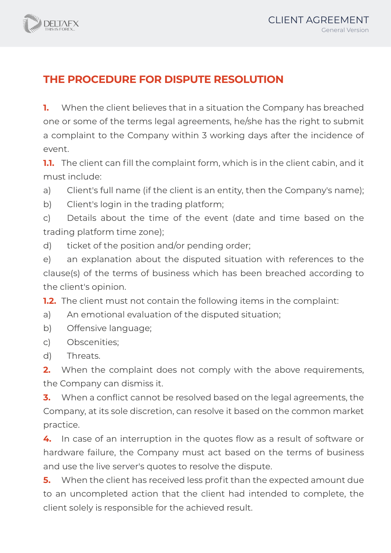## **THE PROCEDURE FOR DISPUTE RESOLUTION**

**1.** When the client believes that in a situation the Company has breached one or some of the terms legal agreements, he/she has the right to submit a complaint to the Company within 3 working days after the incidence of event.

**1.1.** The client can fill the complaint form, which is in the client cabin, and it must include:

- a) Client's full name (if the client is an entity, then the Company's name);
- b) Client's login in the trading platform;

c) Details about the time of the event (date and time based on the trading platform time zone);

d) ticket of the position and/or pending order;

e) an explanation about the disputed situation with references to the clause(s) of the terms of business which has been breached according to the client's opinion.

**1.2.** The client must not contain the following items in the complaint:

- a) An emotional evaluation of the disputed situation;
- b) Offensive language;
- c) Obscenities;
- d) Threats.

**2.** When the complaint does not comply with the above requirements, the Company can dismiss it.

**3.** When a conflict cannot be resolved based on the legal agreements, the Company, at its sole discretion, can resolve it based on the common market practice.

**4.** In case of an interruption in the quotes flow as a result of software or hardware failure, the Company must act based on the terms of business and use the live server's quotes to resolve the dispute.

**5.** When the client has received less profit than the expected amount due to an uncompleted action that the client had intended to complete, the client solely is responsible for the achieved result.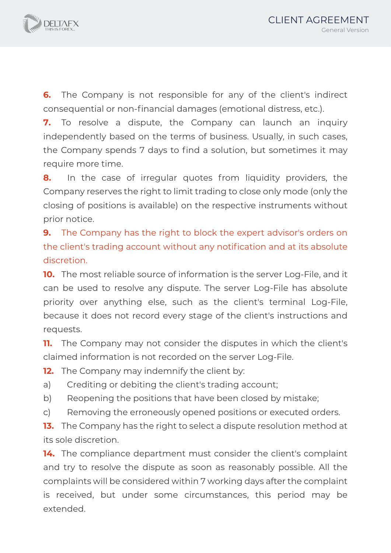

**6.** The Company is not responsible for any of the client's indirect consequential or non‐financial damages (emotional distress, etc.).

**7.** To resolve a dispute, the Company can launch an inquiry independently based on the terms of business. Usually, in such cases, the Company spends 7 days to find a solution, but sometimes it may require more time.

**8.** In the case of irregular quotes from liquidity providers, the Company reserves the right to limit trading to close only mode (only the closing of positions is available) on the respective instruments without prior notice.

**9.** The Company has the right to block the expert advisor's orders on the client's trading account without any notification and at its absolute discretion.

**10.** The most reliable source of information is the server Log-File, and it can be used to resolve any dispute. The server Log-File has absolute priority over anything else, such as the client's terminal Log-File, because it does not record every stage of the client's instructions and requests.

**11.** The Company may not consider the disputes in which the client's claimed information is not recorded on the server Log-File.

**12.** The Company may indemnify the client by:

a) Crediting or debiting the client's trading account;

b) Reopening the positions that have been closed by mistake;

c) Removing the erroneously opened positions or executed orders.

**13.** The Company has the right to select a dispute resolution method at its sole discretion.

14. The compliance department must consider the client's complaint and try to resolve the dispute as soon as reasonably possible. All the complaints will be considered within 7 working days after the complaint is received, but under some circumstances, this period may be extended.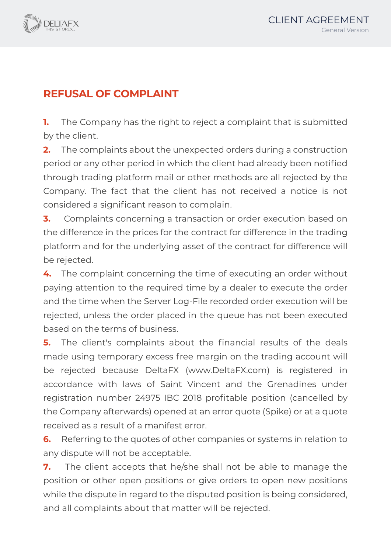

## **REFUSAL OF COMPLAINT**

**1.** The Company has the right to reject a complaint that is submitted by the client.

**2.** The complaints about the unexpected orders during a construction period or any other period in which the client had already been notified through trading platform mail or other methods are all rejected by the Company. The fact that the client has not received a notice is not considered a significant reason to complain.

**3.** Complaints concerning a transaction or order execution based on the difference in the prices for the contract for difference in the trading platform and for the underlying asset of the contract for difference will be rejected.

**4.** The complaint concerning the time of executing an order without paying attention to the required time by a dealer to execute the order and the time when the Server Log‐File recorded order execution will be rejected, unless the order placed in the queue has not been executed based on the terms of business.

**5.** The client's complaints about the financial results of the deals made using temporary excess free margin on the trading account will be rejected because DeltaFX (www.DeltaFX.com) is registered in accordance with laws of Saint Vincent and the Grenadines under registration number 24975 IBC 2018 profitable position (cancelled by the Company afterwards) opened at an error quote (Spike) or at a quote received as a result of a manifest error.

**6.** Referring to the quotes of other companies or systems in relation to any dispute will not be acceptable.

**7.** The client accepts that he/she shall not be able to manage the position or other open positions or give orders to open new positions while the dispute in regard to the disputed position is being considered, and all complaints about that matter will be rejected.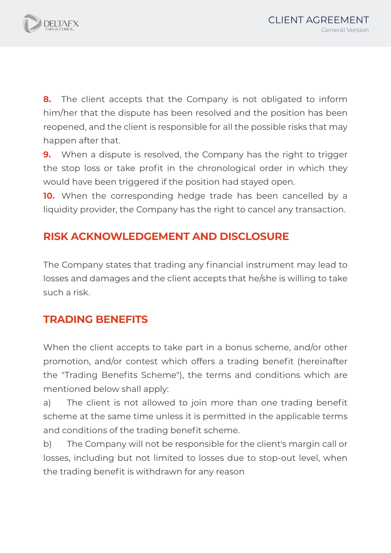

**8.** The client accepts that the Company is not obligated to inform him/her that the dispute has been resolved and the position has been reopened, and the client is responsible for all the possible risks that may happen after that.

**9.** When a dispute is resolved, the Company has the right to trigger the stop loss or take profit in the chronological order in which they would have been triggered if the position had stayed open.

**10.** When the corresponding hedge trade has been cancelled by a liquidity provider, the Company has the right to cancel any transaction.

## **RISK ACKNOWLEDGEMENT AND DISCLOSURE**

The Company states that trading any financial instrument may lead to losses and damages and the client accepts that he/she is willing to take such a risk.

## **TRADING BENEFITS**

When the client accepts to take part in a bonus scheme, and/or other promotion, and/or contest which offers a trading benefit (hereinafter the "Trading Benefits Scheme"), the terms and conditions which are mentioned below shall apply:

a) The client is not allowed to join more than one trading benefit scheme at the same time unless it is permitted in the applicable terms and conditions of the trading benefit scheme.

b) The Company will not be responsible for the client's margin call or losses, including but not limited to losses due to stop-out level, when the trading benefit is withdrawn for any reason